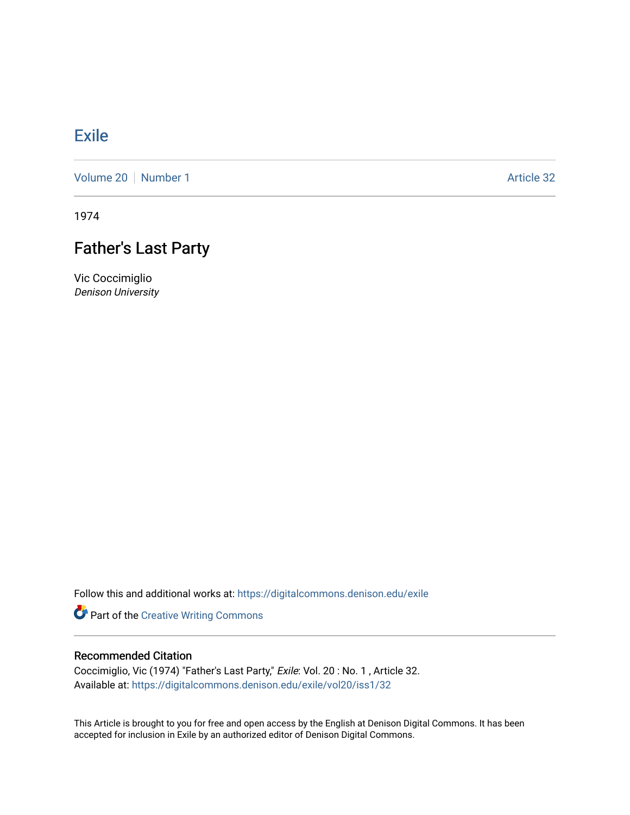## **[Exile](https://digitalcommons.denison.edu/exile)**

[Volume 20](https://digitalcommons.denison.edu/exile/vol20) | [Number 1](https://digitalcommons.denison.edu/exile/vol20/iss1) Article 32

1974

## Father's Last Party

Vic Coccimiglio Denison University

Follow this and additional works at: [https://digitalcommons.denison.edu/exile](https://digitalcommons.denison.edu/exile?utm_source=digitalcommons.denison.edu%2Fexile%2Fvol20%2Fiss1%2F32&utm_medium=PDF&utm_campaign=PDFCoverPages) 

Part of the [Creative Writing Commons](http://network.bepress.com/hgg/discipline/574?utm_source=digitalcommons.denison.edu%2Fexile%2Fvol20%2Fiss1%2F32&utm_medium=PDF&utm_campaign=PDFCoverPages) 

## Recommended Citation

Coccimiglio, Vic (1974) "Father's Last Party," Exile: Vol. 20 : No. 1 , Article 32. Available at: [https://digitalcommons.denison.edu/exile/vol20/iss1/32](https://digitalcommons.denison.edu/exile/vol20/iss1/32?utm_source=digitalcommons.denison.edu%2Fexile%2Fvol20%2Fiss1%2F32&utm_medium=PDF&utm_campaign=PDFCoverPages)

This Article is brought to you for free and open access by the English at Denison Digital Commons. It has been accepted for inclusion in Exile by an authorized editor of Denison Digital Commons.